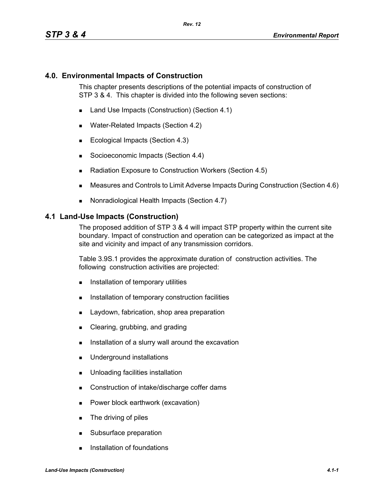## **4.0. Environmental Impacts of Construction**

This chapter presents descriptions of the potential impacts of construction of STP 3 & 4. This chapter is divided into the following seven sections:

- Land Use Impacts (Construction) (Section 4.1)
- Water-Related Impacts (Section 4.2)
- Ecological Impacts (Section 4.3)
- Socioeconomic Impacts (Section 4.4)
- Radiation Exposure to Construction Workers (Section 4.5)
- Measures and Controls to Limit Adverse Impacts During Construction (Section 4.6)
- Nonradiological Health Impacts (Section 4.7)

#### **4.1 Land-Use Impacts (Construction)**

The proposed addition of STP 3 & 4 will impact STP property within the current site boundary. Impact of construction and operation can be categorized as impact at the site and vicinity and impact of any transmission corridors.

Table 3.9S.1 provides the approximate duration of construction activities. The following construction activities are projected:

- **Installation of temporary utilities**
- **Installation of temporary construction facilities**
- **Laydown, fabrication, shop area preparation**
- Clearing, grubbing, and grading
- Installation of a slurry wall around the excavation
- **Underground installations**
- **Unloading facilities installation**
- Construction of intake/discharge coffer dams
- **Power block earthwork (excavation)**
- **The driving of piles**
- Subsurface preparation
- **Installation of foundations**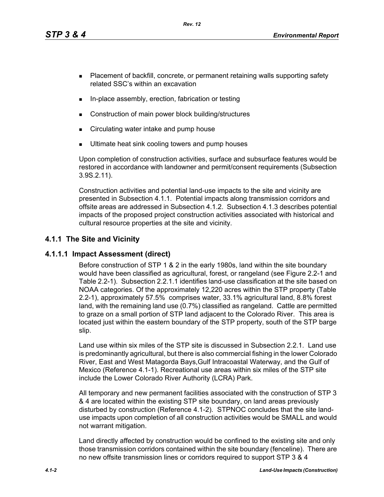*Rev. 12*

- **Placement of backfill, concrete, or permanent retaining walls supporting safety** related SSC's within an excavation
- In-place assembly, erection, fabrication or testing
- Construction of main power block building/structures
- **EXECT** Circulating water intake and pump house
- Ultimate heat sink cooling towers and pump houses

Upon completion of construction activities, surface and subsurface features would be restored in accordance with landowner and permit/consent requirements (Subsection 3.9S.2.11).

Construction activities and potential land-use impacts to the site and vicinity are presented in Subsection 4.1.1. Potential impacts along transmission corridors and offsite areas are addressed in Subsection 4.1.2. Subsection 4.1.3 describes potential impacts of the proposed project construction activities associated with historical and cultural resource properties at the site and vicinity.

# **4.1.1 The Site and Vicinity**

## **4.1.1.1 Impact Assessment (direct)**

Before construction of STP 1 & 2 in the early 1980s, land within the site boundary would have been classified as agricultural, forest, or rangeland (see Figure 2.2-1 and Table 2.2-1). Subsection 2.2.1.1 identifies land-use classification at the site based on NOAA categories. Of the approximately 12,220 acres within the STP property (Table 2.2-1), approximately 57.5% comprises water, 33.1% agricultural land, 8.8% forest land, with the remaining land use (0.7%) classified as rangeland. Cattle are permitted to graze on a small portion of STP land adjacent to the Colorado River. This area is located just within the eastern boundary of the STP property, south of the STP barge slip.

Land use within six miles of the STP site is discussed in Subsection 2.2.1. Land use is predominantly agricultural, but there is also commercial fishing in the lower Colorado River, East and West Matagorda Bays,Gulf Intracoastal Waterway, and the Gulf of Mexico (Reference 4.1-1). Recreational use areas within six miles of the STP site include the Lower Colorado River Authority (LCRA) Park.

All temporary and new permanent facilities associated with the construction of STP 3 & 4 are located within the existing STP site boundary, on land areas previously disturbed by construction (Reference 4.1-2). STPNOC concludes that the site landuse impacts upon completion of all construction activities would be SMALL and would not warrant mitigation.

Land directly affected by construction would be confined to the existing site and only those transmission corridors contained within the site boundary (fenceline). There are no new offsite transmission lines or corridors required to support STP 3 & 4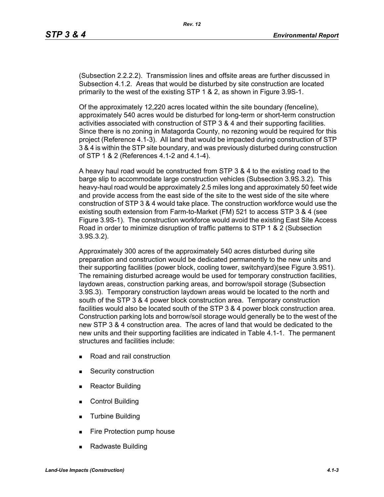(Subsection 2.2.2.2). Transmission lines and offsite areas are further discussed in Subsection 4.1.2. Areas that would be disturbed by site construction are located primarily to the west of the existing STP 1 & 2, as shown in Figure 3.9S-1.

Of the approximately 12,220 acres located within the site boundary (fenceline), approximately 540 acres would be disturbed for long-term or short-term construction activities associated with construction of STP 3 & 4 and their supporting facilities. Since there is no zoning in Matagorda County, no rezoning would be required for this project (Reference 4.1-3). All land that would be impacted during construction of STP 3 & 4 is within the STP site boundary, and was previously disturbed during construction of STP 1 & 2 (References 4.1-2 and 4.1-4).

A heavy haul road would be constructed from STP 3 & 4 to the existing road to the barge slip to accommodate large construction vehicles (Subsection 3.9S.3.2). This heavy-haul road would be approximately 2.5 miles long and approximately 50 feet wide and provide access from the east side of the site to the west side of the site where construction of STP 3 & 4 would take place. The construction workforce would use the existing south extension from Farm-to-Market (FM) 521 to access STP 3 & 4 (see Figure 3.9S-1). The construction workforce would avoid the existing East Site Access Road in order to minimize disruption of traffic patterns to STP 1 & 2 (Subsection 3.9S.3.2).

Approximately 300 acres of the approximately 540 acres disturbed during site preparation and construction would be dedicated permanently to the new units and their supporting facilities (power block, cooling tower, switchyard)(see Figure 3.9S1). The remaining disturbed acreage would be used for temporary construction facilities, laydown areas, construction parking areas, and borrow/spoil storage (Subsection 3.9S.3). Temporary construction laydown areas would be located to the north and south of the STP 3 & 4 power block construction area. Temporary construction facilities would also be located south of the STP 3 & 4 power block construction area. Construction parking lots and borrow/soil storage would generally be to the west of the new STP 3 & 4 construction area. The acres of land that would be dedicated to the new units and their supporting facilities are indicated in Table 4.1-1. The permanent structures and facilities include:

- Road and rail construction
- **Security construction**
- **Reactor Building**
- Control Building
- **Turbine Building**
- Fire Protection pump house
- Radwaste Building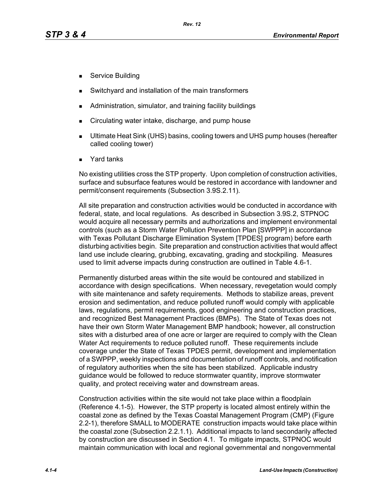- Service Building
- Switchyard and installation of the main transformers
- Administration, simulator, and training facility buildings
- Circulating water intake, discharge, and pump house
- Ultimate Heat Sink (UHS) basins, cooling towers and UHS pump houses (hereafter called cooling tower)
- Yard tanks

No existing utilities cross the STP property. Upon completion of construction activities, surface and subsurface features would be restored in accordance with landowner and permit/consent requirements (Subsection 3.9S.2.11).

All site preparation and construction activities would be conducted in accordance with federal, state, and local regulations. As described in Subsection 3.9S.2, STPNOC would acquire all necessary permits and authorizations and implement environmental controls (such as a Storm Water Pollution Prevention Plan [SWPPP] in accordance with Texas Pollutant Discharge Elimination System [TPDES] program) before earth disturbing activities begin. Site preparation and construction activities that would affect land use include clearing, grubbing, excavating, grading and stockpiling. Measures used to limit adverse impacts during construction are outlined in Table 4.6-1.

Permanently disturbed areas within the site would be contoured and stabilized in accordance with design specifications. When necessary, revegetation would comply with site maintenance and safety requirements. Methods to stabilize areas, prevent erosion and sedimentation, and reduce polluted runoff would comply with applicable laws, regulations, permit requirements, good engineering and construction practices, and recognized Best Management Practices (BMPs). The State of Texas does not have their own Storm Water Management BMP handbook; however, all construction sites with a disturbed area of one acre or larger are required to comply with the Clean Water Act requirements to reduce polluted runoff. These requirements include coverage under the State of Texas TPDES permit, development and implementation of a SWPPP, weekly inspections and documentation of runoff controls, and notification of regulatory authorities when the site has been stabilized. Applicable industry guidance would be followed to reduce stormwater quantity, improve stormwater quality, and protect receiving water and downstream areas.

Construction activities within the site would not take place within a floodplain (Reference 4.1-5). However, the STP property is located almost entirely within the coastal zone as defined by the Texas Coastal Management Program (CMP) (Figure 2.2-1), therefore SMALL to MODERATE construction impacts would take place within the coastal zone (Subsection 2.2.1.1). Additional impacts to land secondarily affected by construction are discussed in Section 4.1. To mitigate impacts, STPNOC would maintain communication with local and regional governmental and nongovernmental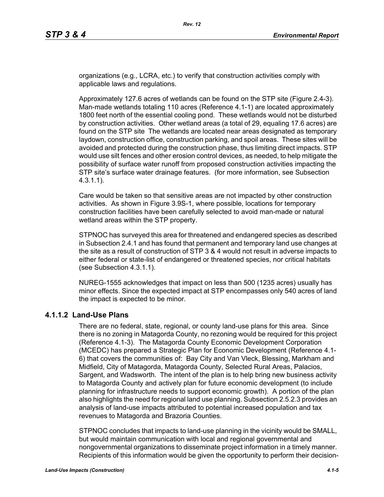organizations (e.g., LCRA, etc.) to verify that construction activities comply with applicable laws and regulations.

Approximately 127.6 acres of wetlands can be found on the STP site (Figure 2.4-3). Man-made wetlands totaling 110 acres (Reference 4.1-1) are located approximately 1800 feet north of the essential cooling pond. These wetlands would not be disturbed by construction activities. Other wetland areas (a total of 29, equaling 17.6 acres) are found on the STP site The wetlands are located near areas designated as temporary laydown, construction office, construction parking, and spoil areas. These sites will be avoided and protected during the construction phase, thus limiting direct impacts. STP would use silt fences and other erosion control devices, as needed, to help mitigate the possibility of surface water runoff from proposed construction activities impacting the STP site's surface water drainage features. (for more information, see Subsection 4.3.1.1).

Care would be taken so that sensitive areas are not impacted by other construction activities. As shown in Figure 3.9S-1, where possible, locations for temporary construction facilities have been carefully selected to avoid man-made or natural wetland areas within the STP property.

STPNOC has surveyed this area for threatened and endangered species as described in Subsection 2.4.1 and has found that permanent and temporary land use changes at the site as a result of construction of STP 3 & 4 would not result in adverse impacts to either federal or state-list of endangered or threatened species, nor critical habitats (see Subsection 4.3.1.1).

NUREG-1555 acknowledges that impact on less than 500 (1235 acres) usually has minor effects. Since the expected impact at STP encompasses only 540 acres of land the impact is expected to be minor.

## **4.1.1.2 Land-Use Plans**

There are no federal, state, regional, or county land-use plans for this area. Since there is no zoning in Matagorda County, no rezoning would be required for this project (Reference 4.1-3). The Matagorda County Economic Development Corporation (MCEDC) has prepared a Strategic Plan for Economic Development (Reference 4.1- 6) that covers the communities of: Bay City and Van Vleck, Blessing, Markham and Midfield, City of Matagorda, Matagorda County, Selected Rural Areas, Palacios, Sargent, and Wadsworth. The intent of the plan is to help bring new business activity to Matagorda County and actively plan for future economic development (to include planning for infrastructure needs to support economic growth). A portion of the plan also highlights the need for regional land use planning. Subsection 2.5.2.3 provides an analysis of land-use impacts attributed to potential increased population and tax revenues to Matagorda and Brazoria Counties.

STPNOC concludes that impacts to land-use planning in the vicinity would be SMALL, but would maintain communication with local and regional governmental and nongovernmental organizations to disseminate project information in a timely manner. Recipients of this information would be given the opportunity to perform their decision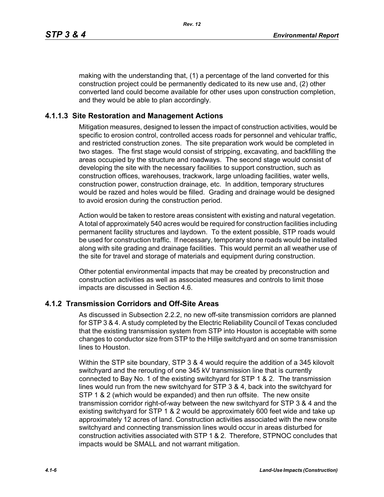making with the understanding that, (1) a percentage of the land converted for this construction project could be permanently dedicated to its new use and, (2) other converted land could become available for other uses upon construction completion, and they would be able to plan accordingly.

#### **4.1.1.3 Site Restoration and Management Actions**

Mitigation measures, designed to lessen the impact of construction activities, would be specific to erosion control, controlled access roads for personnel and vehicular traffic, and restricted construction zones. The site preparation work would be completed in two stages. The first stage would consist of stripping, excavating, and backfilling the areas occupied by the structure and roadways. The second stage would consist of developing the site with the necessary facilities to support construction, such as construction offices, warehouses, trackwork, large unloading facilities, water wells, construction power, construction drainage, etc. In addition, temporary structures would be razed and holes would be filled. Grading and drainage would be designed to avoid erosion during the construction period.

Action would be taken to restore areas consistent with existing and natural vegetation. A total of approximately 540 acres would be required for construction facilities including permanent facility structures and laydown. To the extent possible, STP roads would be used for construction traffic. If necessary, temporary stone roads would be installed along with site grading and drainage facilities. This would permit an all weather use of the site for travel and storage of materials and equipment during construction.

Other potential environmental impacts that may be created by preconstruction and construction activities as well as associated measures and controls to limit those impacts are discussed in Section 4.6.

## **4.1.2 Transmission Corridors and Off-Site Areas**

As discussed in Subsection 2.2.2, no new off-site transmission corridors are planned for STP 3 & 4. A study completed by the Electric Reliability Council of Texas concluded that the existing transmission system from STP into Houston is acceptable with some changes to conductor size from STP to the Hillje switchyard and on some transmission lines to Houston.

Within the STP site boundary, STP 3 & 4 would require the addition of a 345 kilovolt switchyard and the rerouting of one 345 kV transmission line that is currently connected to Bay No. 1 of the existing switchyard for STP 1 & 2. The transmission lines would run from the new switchyard for STP 3 & 4, back into the switchyard for STP 1 & 2 (which would be expanded) and then run offsite. The new onsite transmission corridor right-of-way between the new switchyard for STP 3 & 4 and the existing switchyard for STP 1 & 2 would be approximately 600 feet wide and take up approximately 12 acres of land. Construction activities associated with the new onsite switchyard and connecting transmission lines would occur in areas disturbed for construction activities associated with STP 1 & 2. Therefore, STPNOC concludes that impacts would be SMALL and not warrant mitigation.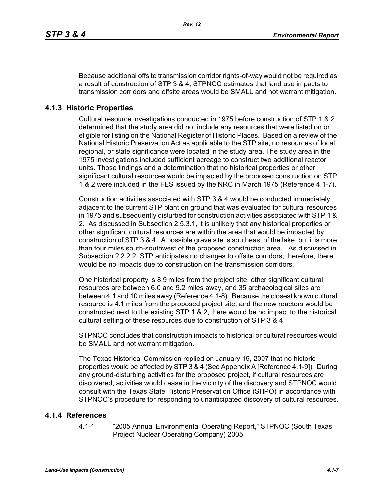Because additional offsite transmission corridor rights-of-way would not be required as a result of construction of STP 3 & 4, STPNOC estimates that land use impacts to transmission corridors and offsite areas would be SMALL and not warrant mitigation.

## **4.1.3 Historic Properties**

Cultural resource investigations conducted in 1975 before construction of STP 1 & 2 determined that the study area did not include any resources that were listed on or eligible for listing on the National Register of Historic Places. Based on a review of the National Historic Preservation Act as applicable to the STP site, no resources of local, regional, or state significance were located in the study area. The study area in the 1975 investigations included sufficient acreage to construct two additional reactor units. Those findings and a determination that no historical properties or other significant cultural resources would be impacted by the proposed construction on STP 1 & 2 were included in the FES issued by the NRC in March 1975 (Reference 4.1-7).

Construction activities associated with STP 3 & 4 would be conducted immediately adjacent to the current STP plant on ground that was evaluated for cultural resources in 1975 and subsequently disturbed for construction activities associated with STP 1 & 2. As discussed in Subsection 2.5.3.1, it is unlikely that any historical properties or other significant cultural resources are within the area that would be impacted by construction of STP 3 & 4. A possible grave site is southeast of the lake, but it is more than four miles south-southwest of the proposed construction area. As discussed in Subsection 2.2.2.2, STP anticipates no changes to offsite corridors; therefore, there would be no impacts due to construction on the transmission corridors.

One historical property is 8.9 miles from the project site, other significant cultural resources are between 6.0 and 9.2 miles away, and 35 archaeological sites are between 4.1 and 10 miles away (Reference 4.1-8). Because the closest known cultural resource is 4.1 miles from the proposed project site, and the new reactors would be constructed next to the existing STP 1 & 2, there would be no impact to the historical cultural setting of these resources due to construction of STP 3 & 4.

STPNOC concludes that construction impacts to historical or cultural resources would be SMALL and not warrant mitigation.

The Texas Historical Commission replied on January 19, 2007 that no historic properties would be affected by STP 3 & 4 (See Appendix A [Reference 4.1-9]). During any ground-disturbing activities for the proposed project, if cultural resources are discovered, activities would cease in the vicinity of the discovery and STPNOC would consult with the Texas State Historic Preservation Office (SHPO) in accordance with STPNOC's procedure for responding to unanticipated discovery of cultural resources.

## **4.1.4 References**

4.1-1 "2005 Annual Environmental Operating Report," STPNOC (South Texas Project Nuclear Operating Company) 2005.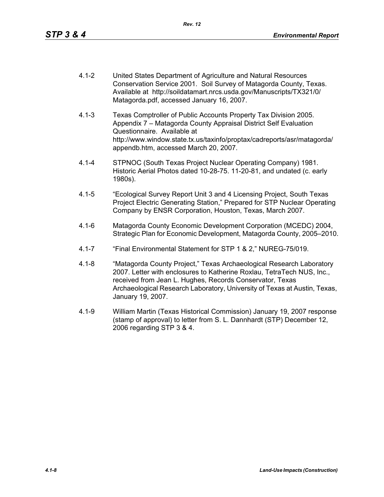- 4.1-2 United States Department of Agriculture and Natural Resources Conservation Service 2001. Soil Survey of Matagorda County, Texas. Available at http://soildatamart.nrcs.usda.gov/Manuscripts/TX321/0/ Matagorda.pdf, accessed January 16, 2007.
- 4.1-3 Texas Comptroller of Public Accounts Property Tax Division 2005. Appendix 7 – Matagorda County Appraisal District Self Evaluation Questionnaire. Available at http://www.window.state.tx.us/taxinfo/proptax/cadreports/asr/matagorda/ appendb.htm, accessed March 20, 2007.
- 4.1-4 STPNOC (South Texas Project Nuclear Operating Company) 1981. Historic Aerial Photos dated 10-28-75. 11-20-81, and undated (c. early 1980s).
- 4.1-5 "Ecological Survey Report Unit 3 and 4 Licensing Project, South Texas Project Electric Generating Station," Prepared for STP Nuclear Operating Company by ENSR Corporation, Houston, Texas, March 2007.
- 4.1-6 Matagorda County Economic Development Corporation (MCEDC) 2004, Strategic Plan for Economic Development, Matagorda County, 2005–2010.
- 4.1-7 "Final Environmental Statement for STP 1 & 2," NUREG-75/019.
- 4.1-8 "Matagorda County Project," Texas Archaeological Research Laboratory 2007. Letter with enclosures to Katherine Roxlau, TetraTech NUS, Inc., received from Jean L. Hughes, Records Conservator, Texas Archaeological Research Laboratory, University of Texas at Austin, Texas, January 19, 2007.
- 4.1-9 William Martin (Texas Historical Commission) January 19, 2007 response (stamp of approval) to letter from S. L. Dannhardt (STP) December 12, 2006 regarding STP 3 & 4.